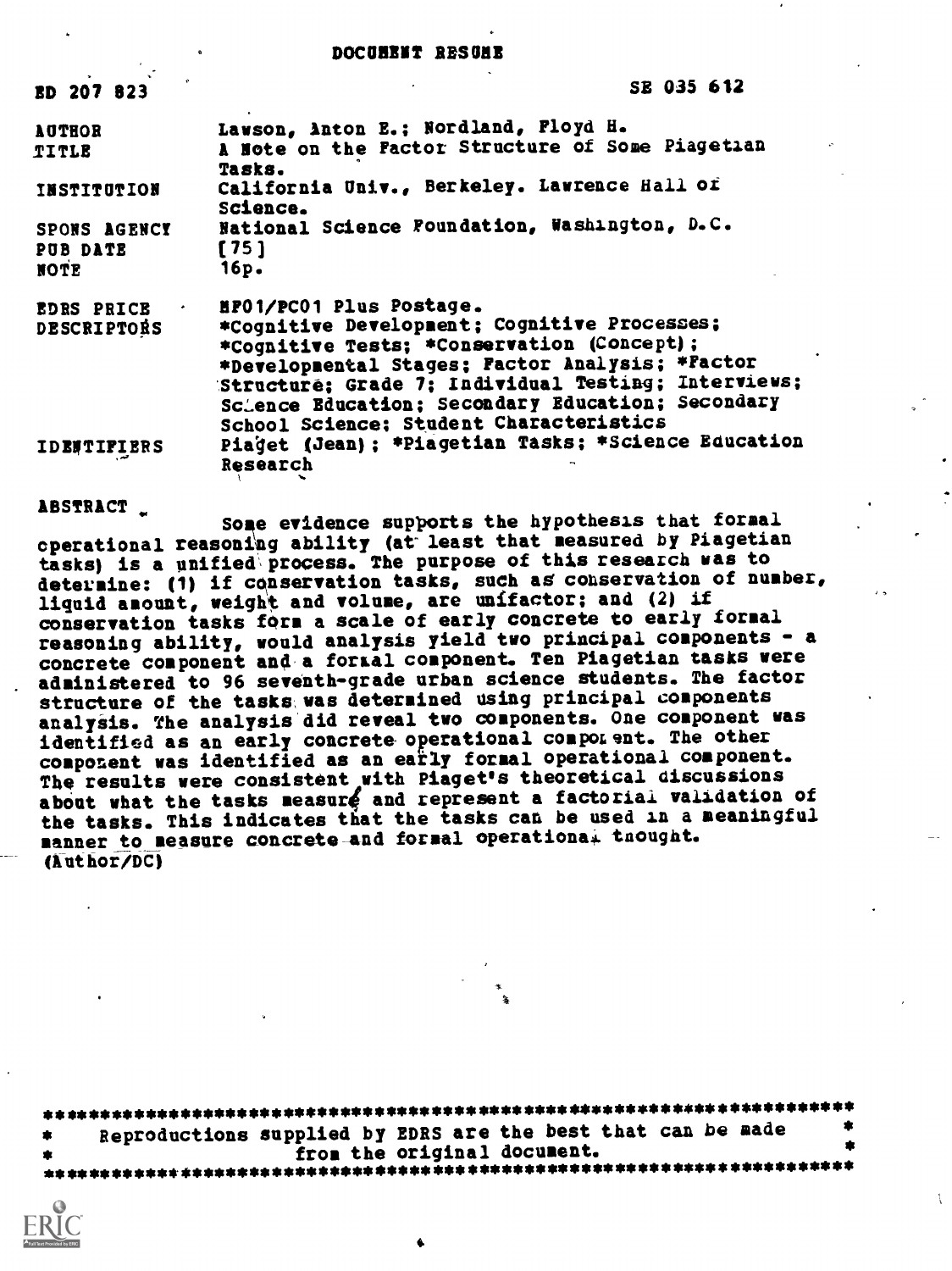#### DOCUMENT RESUME

| <b>ED 207 823</b>                | SE 035 612                                                                                    |
|----------------------------------|-----------------------------------------------------------------------------------------------|
| <b>AUTHOR</b>                    | Lawson, Anton E.; Nordland, Ployd H.                                                          |
| TITLE                            | A Note on the Factor Structure of Some Piagetian<br>Tasks.                                    |
| INSTITUTION                      | California Univ., Berkeley. Lawrence Hall of<br>Science.                                      |
| SPONS AGENCY                     | National Science Foundation, Washington, D.C.<br>[75]                                         |
| PUB DATE<br>NOTE                 | 16p.                                                                                          |
| EDRS PRICE<br><b>DESCRIPTORS</b> | HPO1/PC01 Plus Postage.<br>*Cognitive Development; Cognitive Processes;                       |
|                                  | *Cognitive Tests; *Conservation (Concept);<br>*Developmental Stages; Factor Analysis; *Factor |
|                                  | Structuré; Grade 7; Individual Testing; Interviews;                                           |
|                                  | Science Education; Secondary Education; Secondary<br>School Science; Student Characteristics  |
| <b>IDBUTIFIERS</b>               | Piaget (Jean) ; *Piagetian Tasks; *Science Education<br><b>Research</b>                       |

ABSTRACT

Some evidence supports the hypothesis that formal operational reasoning ability (at- least that measured by Piagetian tasks) is a unified\process. The purpose of this research was to determine: (1) if conservation tasks, such as conservation of number, liquid amount, weight and volume, are unifactor; and (2) if conservation tasks fOrm a scale of early concrete to early formal reasoning ability, would analysis yield two principal components - a concrete component and a fortal component. Ten Piagetian tasks were administered to 96 seventh-grade urban science students. The factor structure of the tasks, was determined using principal components analysis. The analysis'did reveal two components. One component was identified as an early concrete operational component. The other component was identified as an early formal operational component. The results were consistent with Piaget's theoretical discussions about what the tasks measure and represent a factorial validation of the tasks. This indicates that the tasks can be used in a meaningful manner to measure concrete-and formal operational thought. (Author/DC)

\*\*\*\*\*\*\*\*\*\*\*\*\*\*\*\*\*\*\*\*\*\*\*\*\*\*\*\*\*\*\*\*\*\*\*\*\*\*\*\*\*\*\*\*\*\*\*\*\*\*\*\*\*\*\*\*\*\*\*\*\*\*\*\*\*\*\*\*\*\*\* \* Reproductions supplied by EDRS are the best that can be made  $\qquad \qquad \bullet$ \* from the original document. \* \*\*\*\*\*\*\*\*\*\*\*\*\*\*\*\*\*\*\*\*\*\*\*\*\*\*\*\*\*\*\*\*\*\*\*\*\*\*\*\*\*\*\*\*\*\*\*\*\*\*\*\*\*\*\*\*\*\*\*\*\*\*\*\*\*\*\*\*\*\*\*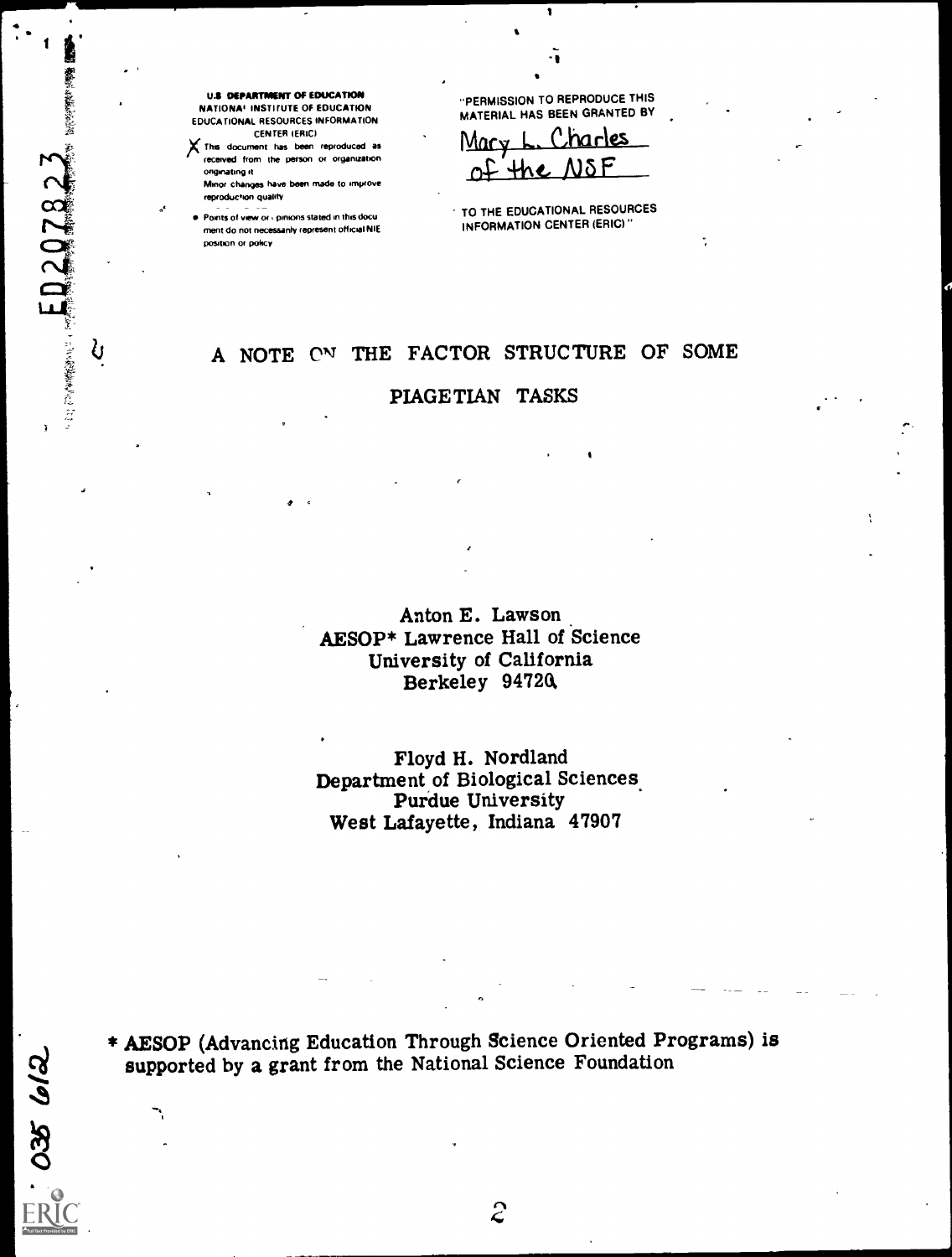035 612

S

U.S DEPARTMENT OF EDUCATION NATIONAL INSTITUTE OF EDUCATION EDUCATIONAL RESOURCES INFORMATION

CENTER IERICI XThe document has been reproduced as received from the person or organisation ongmating it

Minor changes have been made to improve reproduction quality

**Points of view or cpinions stated in this docu** ment do not necessarily represent official NIE positron or poky

e

"PERMISSION TO REPRODUCE THIS MATERIAL HAS BEEN GRANTED BY

 $\mathbf{I}$ 

-I

Charles Mary of the NOP

TO THE EDUCATIONAL RESOURCES INFORMATION CENTER (ERIC)"

## A NOTE ON THE FACTOR STRUCTURE OF SOME

PIAGETIAN TASKS

Anton E. Lawson AESOP\* Lawrence Hall of Science University of California Berkeley 94720,

Floyd H. Nordland Department of Biological Sciences. Purdue University West Lafayette, Indiana 47907

\* AESOP (Advancing Education Through Science Oriented Programs) is supported by a grant from the National Science Foundation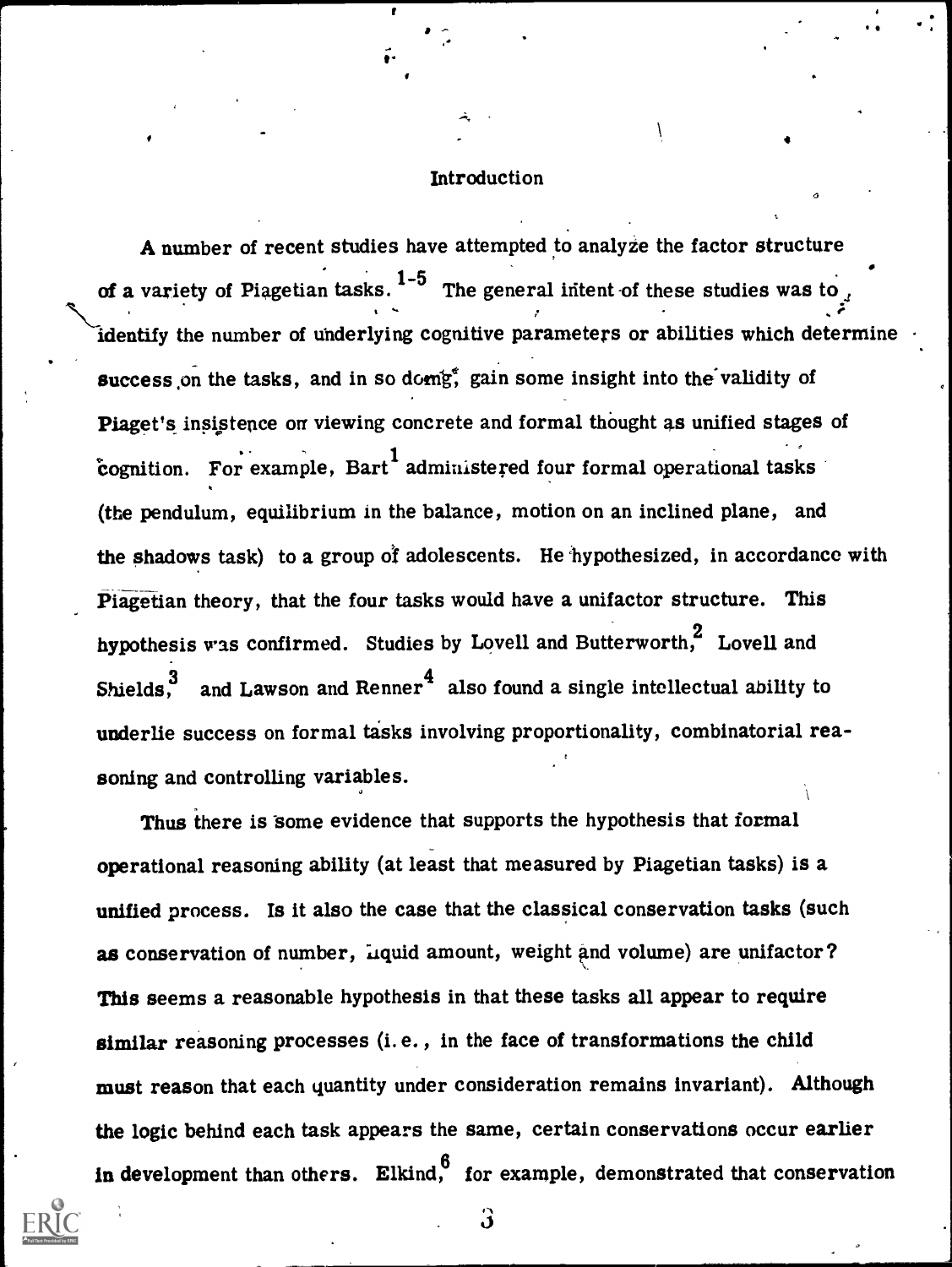## **Introduction**

A number of recent studies have attempted to analyze the factor structure of a variety of Piagetian tasks.  $1-5$  The general intent of these studies was to  $\mathcal{L}^{\mathcal{L}}$ identify the number of underlying cognitive parameters or abilities which determine success on the tasks, and in so domg<sup>e</sup>, gain some insight into the validity of Piaget's insistence on viewing concrete and formal thought as unified stages of cognition. For example, Bart administered four formal operational tasks (the pendulum, equilibrium in the balance, motion on an inclined plane, and the shadows task) to a group of adolescents. He 'hypothesized, in accordance with Piagetian theory, that the four tasks would have a unifactor structure. This hypothesis was confirmed. Studies by Lovell and Butterworth,<sup>2</sup> Lovell and Shields,<sup>3</sup> and Lawson and Renner<sup>4</sup> also found a single intellectual ability to underlie success on formal tasks involving proportionality, combinatorial reasoning and controlling variables.

Thus there is some evidence that supports the hypothesis that formal operational reasoning ability (at least that measured by Piagetian tasks) is a unified process. Is it also the case that the classical conservation tasks (such as conservation of number, Liquid amount, weight and volume) are unifactor? This seems a reasonable hypothesis in that these tasks all appear to require similar reasoning processes (i. e. , in the face of transformations the child must reason that each quantity under consideration remains invariant). Although the logic behind each task appears the same, certain conservations occur earlier in development than others. Elkind, for example, demonstrated that conservation



ပ္ပ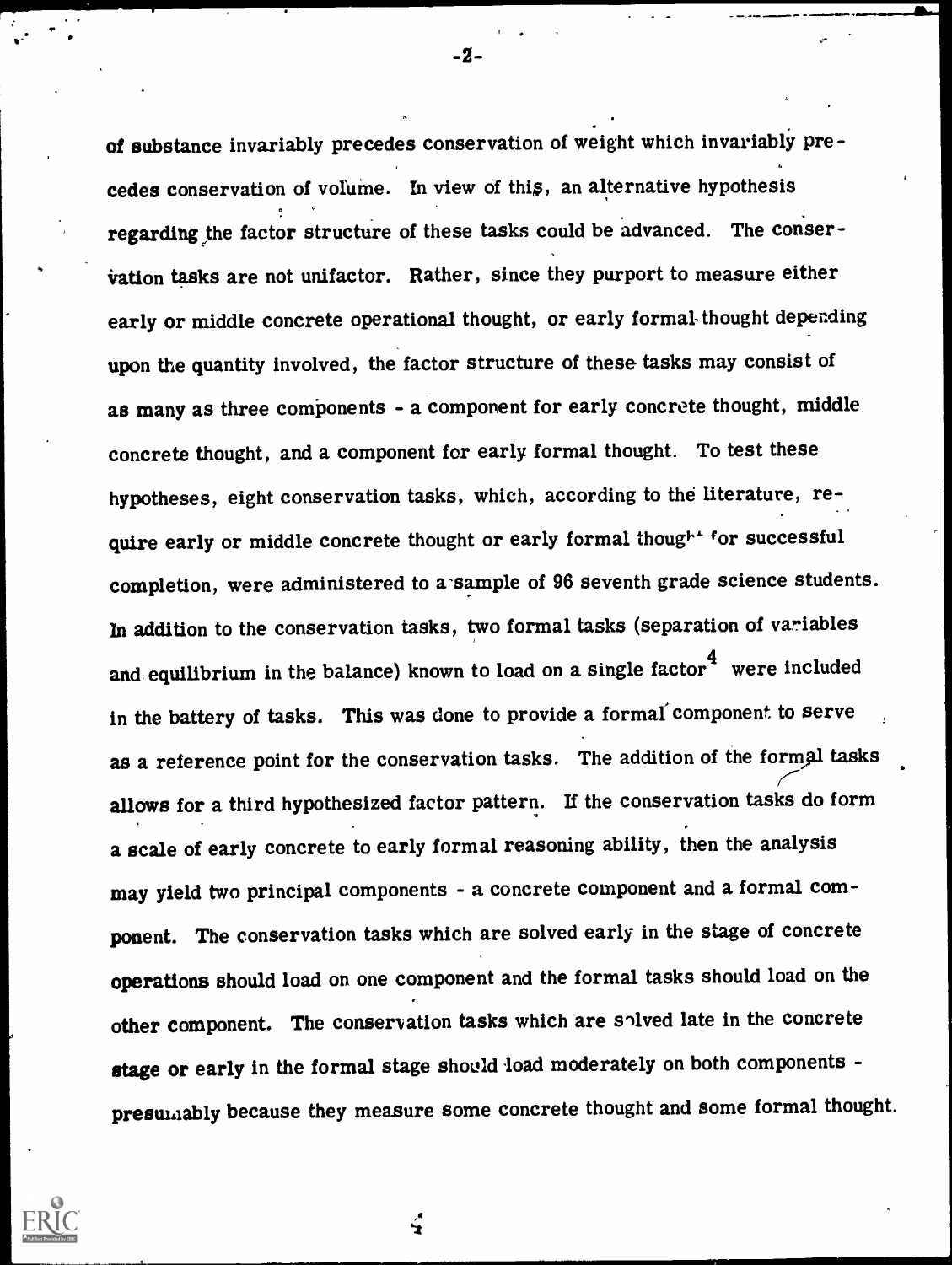of substance invariably precedes conservation of weight which invariably pre cedes conservation of volume. In view of this, an alternative hypothesis regarding the factor structure of these tasks could be advanced. The conservation tasks are not unifactor. Rather, since they purport to measure either early or middle concrete operational thought, or early formal-thought depending upon the quantity involved, the factor structure of these tasks may consist of as many as three components - a component for early concrete thought, middle concrete thought, and a component for early formal thought. To test these hypotheses, eight conservation tasks, which, according to the literature, require early or middle concrete thought or early formal thought for successful completion, were administered to a-sample of 96 seventh grade science students. In addition to the conservation tasks, two formal tasks (separation of variables and equilibrium in the balance) known to load on a single factor  $4$  were included in the battery of tasks. This was done to provide a formal component to serve as a reference point for the conservation tasks. The addition of the formal tasks allows for a third hypothesized factor pattern. If the conservation tasks do form a scale of early concrete to early formal reasoning ability, then the analysis may yield two principal components - a concrete component and a formal component. The conservation tasks which are solved early in the stage of concrete operations should load on one component and the formal tasks should load on the other component. The conservation tasks which are solved late in the concrete stage or early in the formal stage should load moderately on both components presumably because they measure some concrete thought and some formal thought.



-2

÷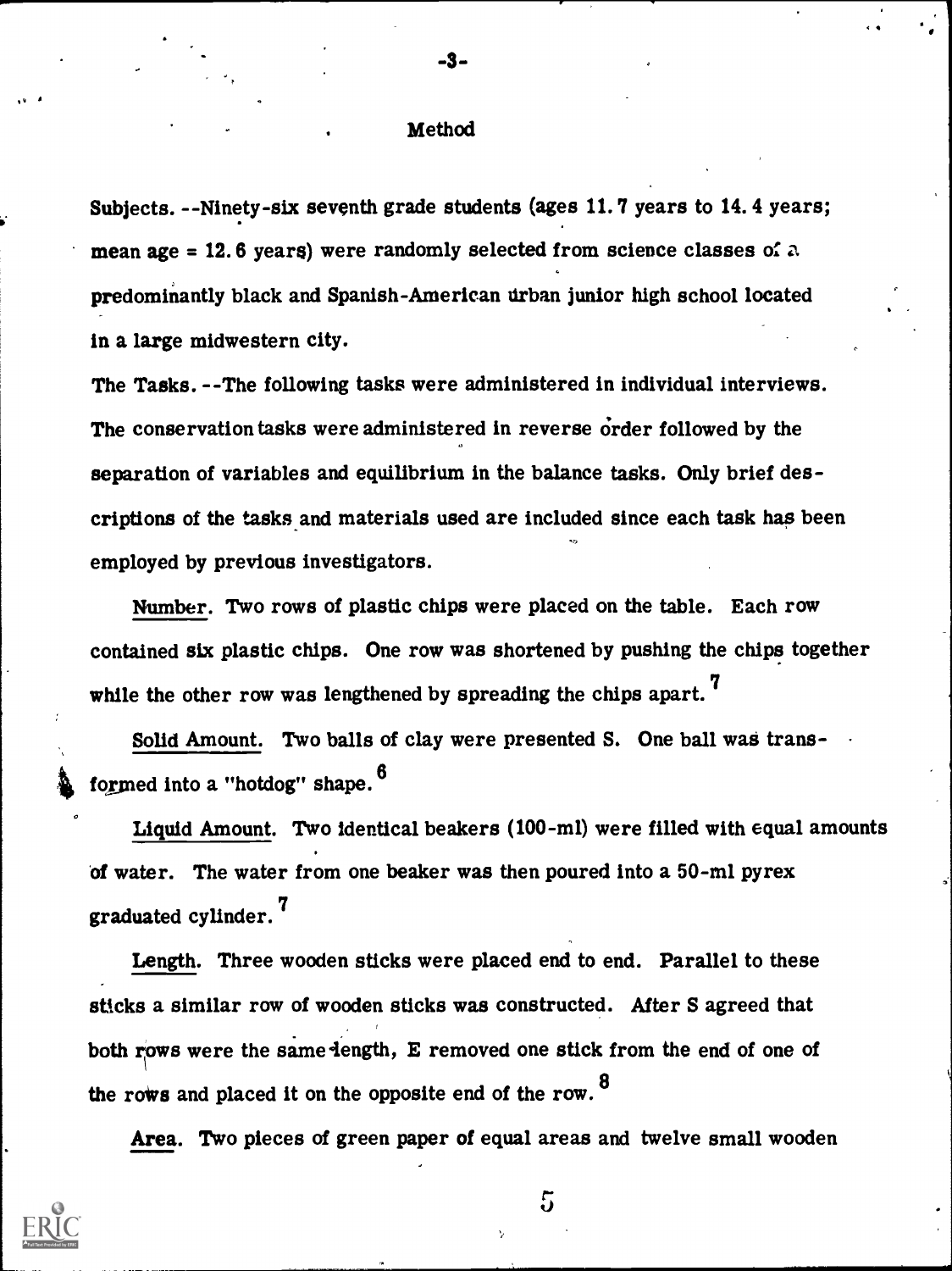## **Method**

-3 -

 $4.4 \pm 0.1$ 

e

Subjects. --Ninety-six seventh grade students (ages 11.7 years to 14.4 years; mean age = 12.6 years) were randomly selected from science classes of  $\alpha$ predominantly black and Spanish-American urban junior high school located in a large midwestern city.

The Tasks. --The following tasks were administered in individual interviews. The conservation tasks were administered in reverse order followed by the separation of variables and equilibrium in the balance tasks. Only brief descriptions of the tasks and materials used are included since each task has been employed by previous investigators.

Number. Two rows of plastic chips were placed on the table. Each row contained six plastic chips. One row was shortened by pushing the chips together while the other row was lengthened by spreading the chips apart.<sup>7</sup>

Solid Amount. Two balls of clay were presented S. One ball was transformed into a "hotdog" shape.<sup>6</sup>

Liquid Amount. Two identical beakers (100-ml) were filled with equal amounts of water. The water from one beaker was then poured into a 50-ml pyrex graduated cylinder. 7

Length. Three wooden sticks were placed end to end. Parallel to these sticks a similar row of wooden sticks was constructed. After S agreed that both rows were the same-length, E removed one stick from the end of one of the rows and placed it on the opposite end of the row.  $8$ 

Area. Two pieces of green paper of equal areas and twelve small wooden



I. \*

 $5<sub>1</sub>$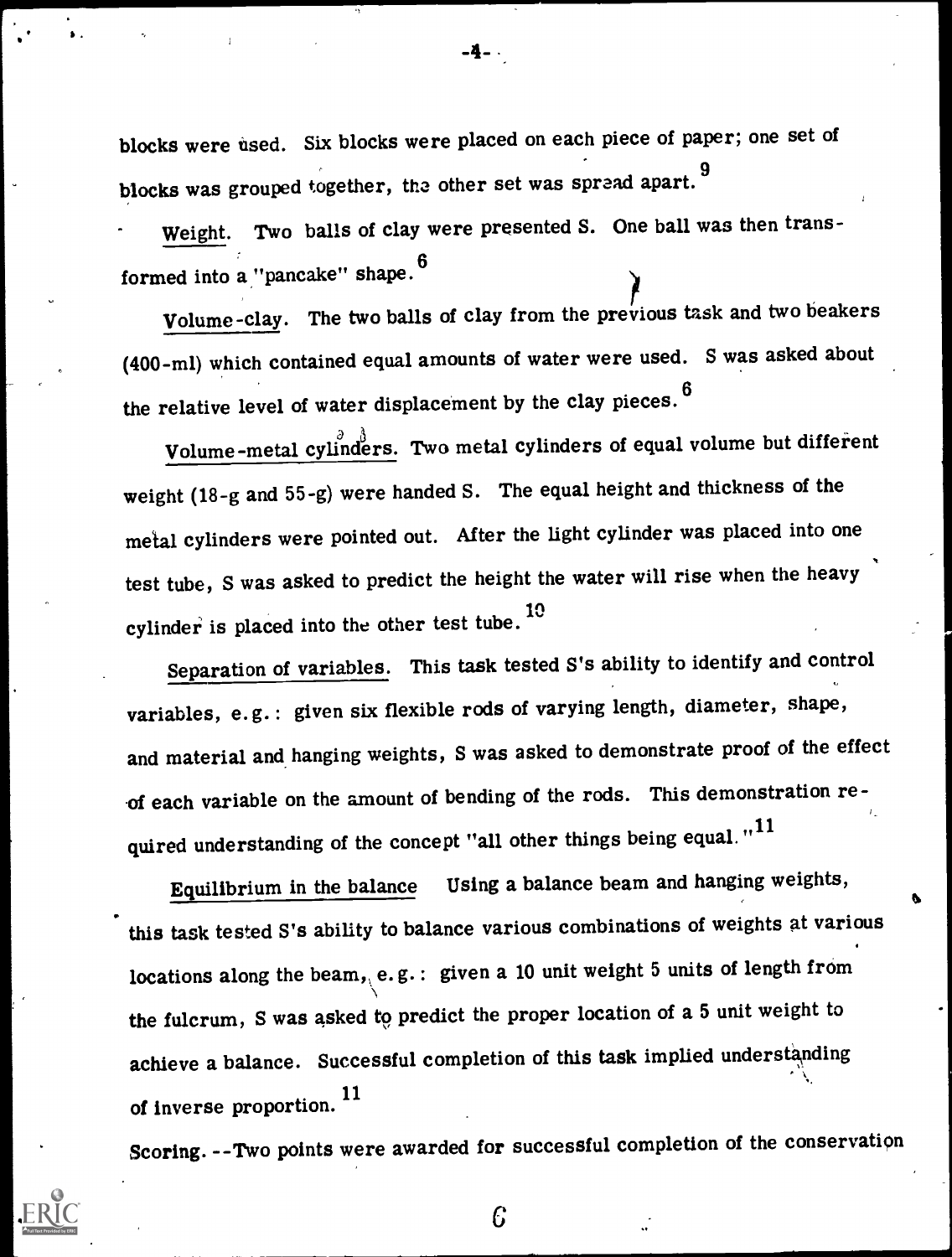blocks were used. Six blocks were placed on each piece of paper; one set of blocks was grouped together, the other set was spread apart. 9

Weight. Two balls of clay were presented S. One ball was then transformed into a "pancake" shape.<sup>6</sup>

Volume-clay. The two balls of clay from the previous task and two beakers (400-m1) which contained equal amounts of water were used. S was asked about the relative level of water displacement by the clay pieces. <sup>6</sup>

Volume-metal cylinders. Two metal cylinders of equal volume but different weight (18-g and 55-g) were handed S. The equal height and thickness of the metal cylinders were pointed out. After the light cylinder was placed into one test tube, S was asked to predict the height the water will rise when the heavy cylinder is placed into the other test tube.  $10$ 

Separation of variables. This task tested S's ability to identify and control variables, e.g.: given six flexible rods of varying length, diameter, shape, and material and hanging weights, S was asked to demonstrate proof of the effect of each variable on the amount of bending of the rods. This demonstration required understanding of the concept "all other things being equal."<sup>11</sup>

Equilibrium in the balance Using a balance beam and hanging weights, this task tested S's ability to balance various combinations of weights at various locations along the beam, e.g.: given a 10 unit weight 5 units of length from the fulcrum, S was asked to predict the proper location of a 5 unit weight to  $\qquad \qquad$ achieve a balance. Successful completion of this task implied understanding of inverse proportion. 11

Scoring. --Two points were awarded for successful completion of the conservation

C

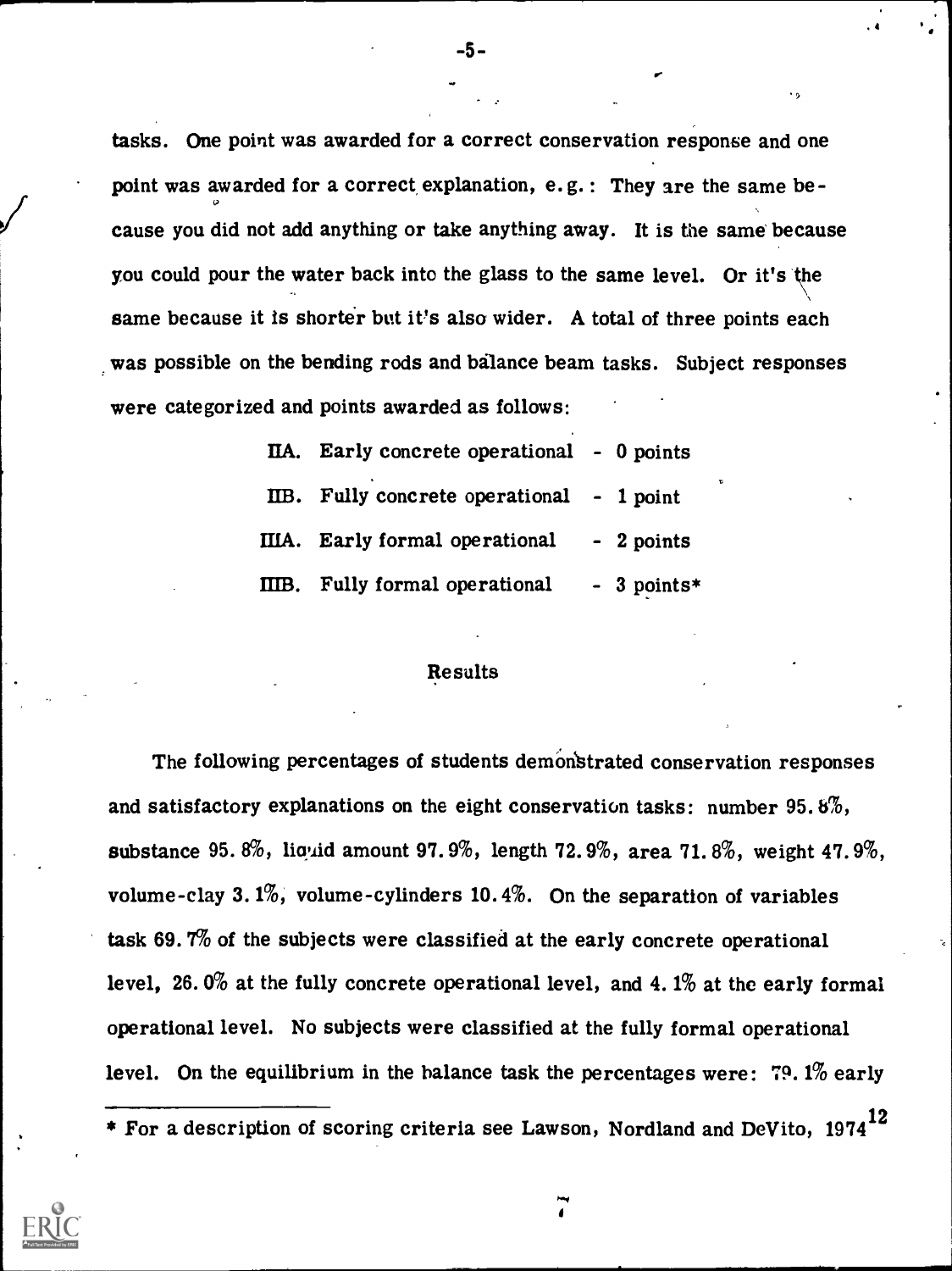tasks. One point was awarded for a correct conservation response and one point was awarded for a correct explanation,  $e.g.:$  They are the same because you did not add anything or take anything away. It is the same because you could pour the water back into the glass to the same level. Or it's the same because it is shorter but it's also wider. A total of three points each was possible on the bending rods and balance beam tasks. Subject responses were categorized and points awarded as follows:

| IIA. Early concrete operational - 0 points  |   |
|---------------------------------------------|---|
| IIB. Fully concrete operational - 1 point   | τ |
| IIIA. Early formal operational - 2 points   |   |
| IIIB. Fully formal operational $-3$ points* |   |

## Results

The following percentages of students demonstrated conservation responses and satisfactory explanations on the eight conservation tasks: number 95.8%, substance 95. 8%, liquid amount 97. 9%, length 72. 9%, area 71. 8%, weight 47. 9%, volume-clay 3.1%, volume-cylinders 10.4%. On the separation of variables task 69. 7% of the subjects were classified at the early concrete operational level, 26. 0% at the fully concrete operational level, and 4. 1% at the early formal operational level. No subjects were classified at the fully formal operational level. On the equilibrium in the balance task the percentages were: 79. 1% early

<sup>\*</sup> For a description of scoring criteria see Lawson, Nordland and DeVito, 1974 $^{12}$ 



-5-

 $\cdot$  ,  $\cdot$ 

Now

I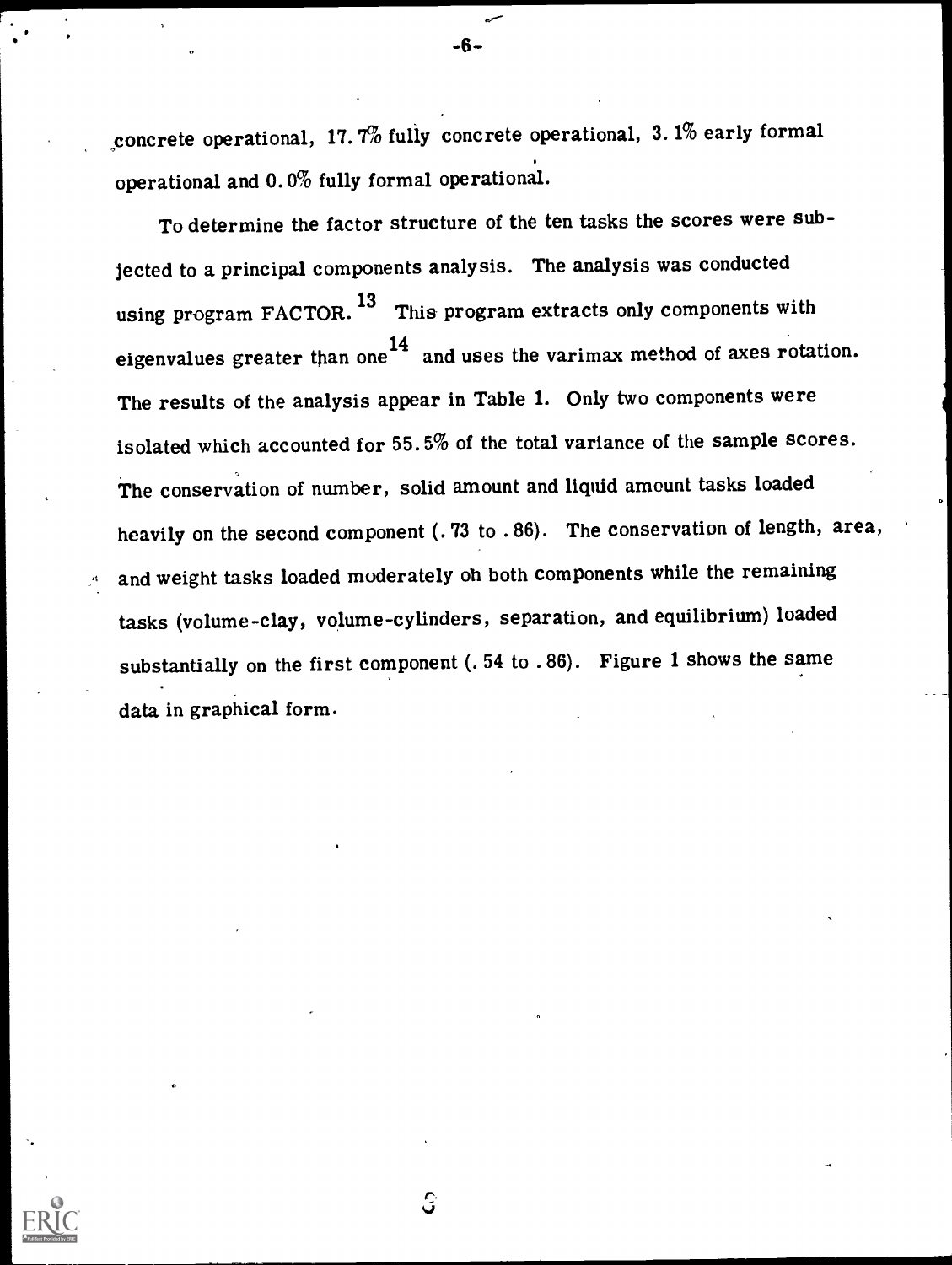concrete operational, 17.7% fully concrete operational, 3. 1% early formal operational and 0.0% fully formal operational.

-6-

To determine the factor structure of the ten tasks the scores were subjected to a principal components analysis. The analysis was conducted using program FACTOR.<sup>13</sup> This program extracts only components with eigenvalues greater than one<sup>14</sup> and uses the varimax method of axes rotation. The results of the analysis appear in Table 1. Only two components were isolated which accounted for 55.5% of the total variance of the sample scores. The conservation of number, solid amount and liquid amount tasks loaded heavily on the second component (.73 to .86). The conservation of length, area, and weight tasks loaded moderately oh both components while the remaining tasks (volume-clay, volume-cylinders, separation, and equilibrium) loaded substantially on the first component (. 54 to . 86). Figure 1 shows the same data in graphical form.

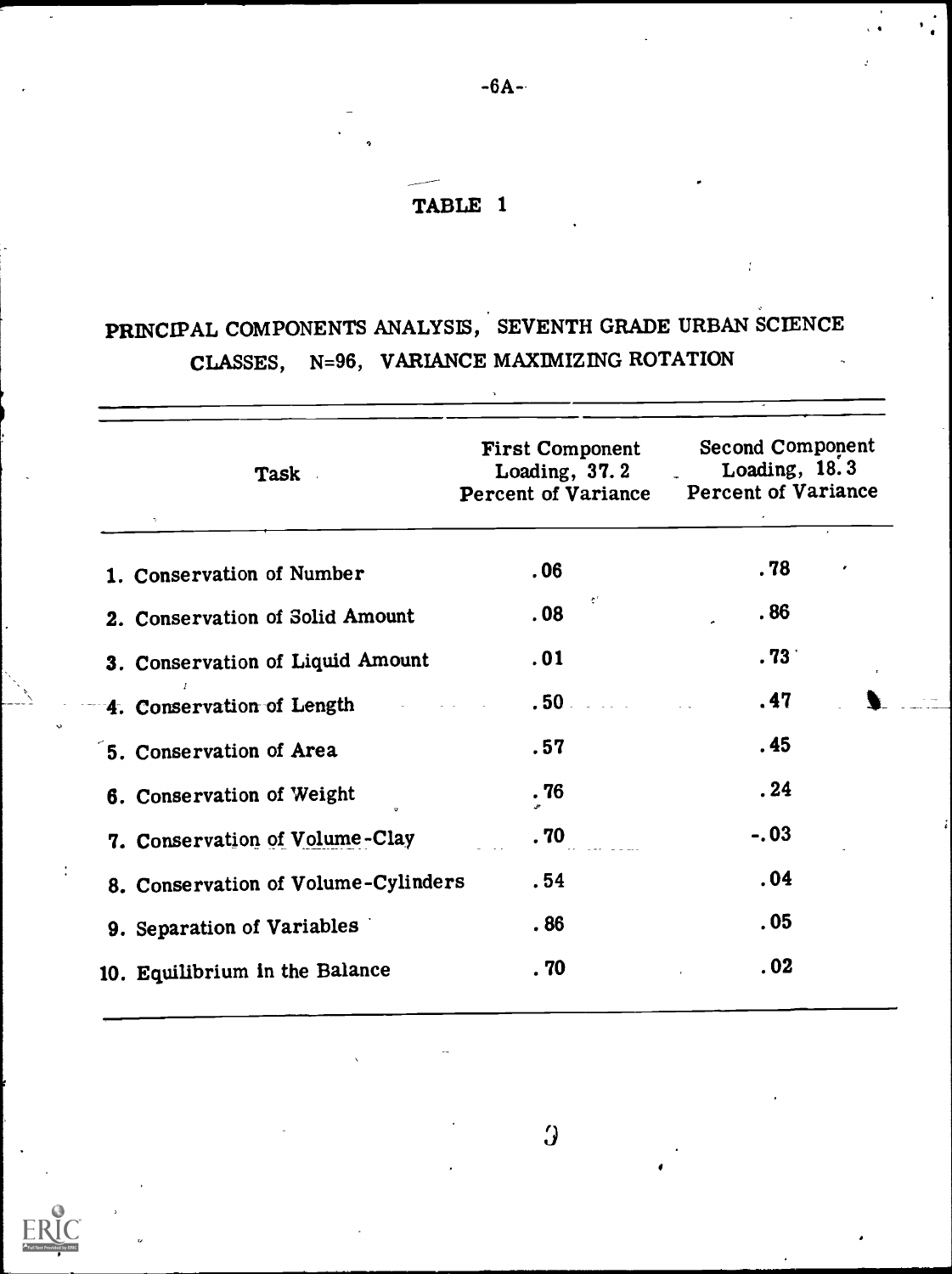## TABLE 1

# PRINCIPAL COMPONENTS ANALYSIS, SEVENTH GRADE URBAN SCIENCE CLASSES, N=96, VARIANCE MAXIMIZING ROTATION

| <b>Task</b>                         | <b>First Component</b><br>Loading, $37.2$<br><b>Percent of Variance</b> | <b>Second Component</b><br>Loading, 18.3<br><b>Percent of Variance</b> |
|-------------------------------------|-------------------------------------------------------------------------|------------------------------------------------------------------------|
| 1. Conservation of Number           | .06                                                                     | . 78                                                                   |
| 2. Conservation of Solid Amount     | $\boldsymbol{\hat{\tau}}^{\scriptscriptstyle{\mathrm{T}}}$<br>.08       | .86                                                                    |
| 3. Conservation of Liquid Amount    | .01                                                                     | .73 <sub>1</sub>                                                       |
| 4. Conservation of Length           | $.50 -$                                                                 | .47                                                                    |
| 5. Conservation of Area             | .57                                                                     | .45                                                                    |
| 6. Conservation of Weight           | .76                                                                     | .24                                                                    |
| 7. Conservation of Volume-Clay      | .70                                                                     | $-.03$                                                                 |
| 8. Conservation of Volume-Cylinders | .54                                                                     | .04                                                                    |
| 9. Separation of Variables          | .86                                                                     | .05                                                                    |
| 10. Equilibrium in the Balance      | . 70                                                                    | .02                                                                    |
|                                     |                                                                         |                                                                        |

 $\overline{y}$ 



-6A-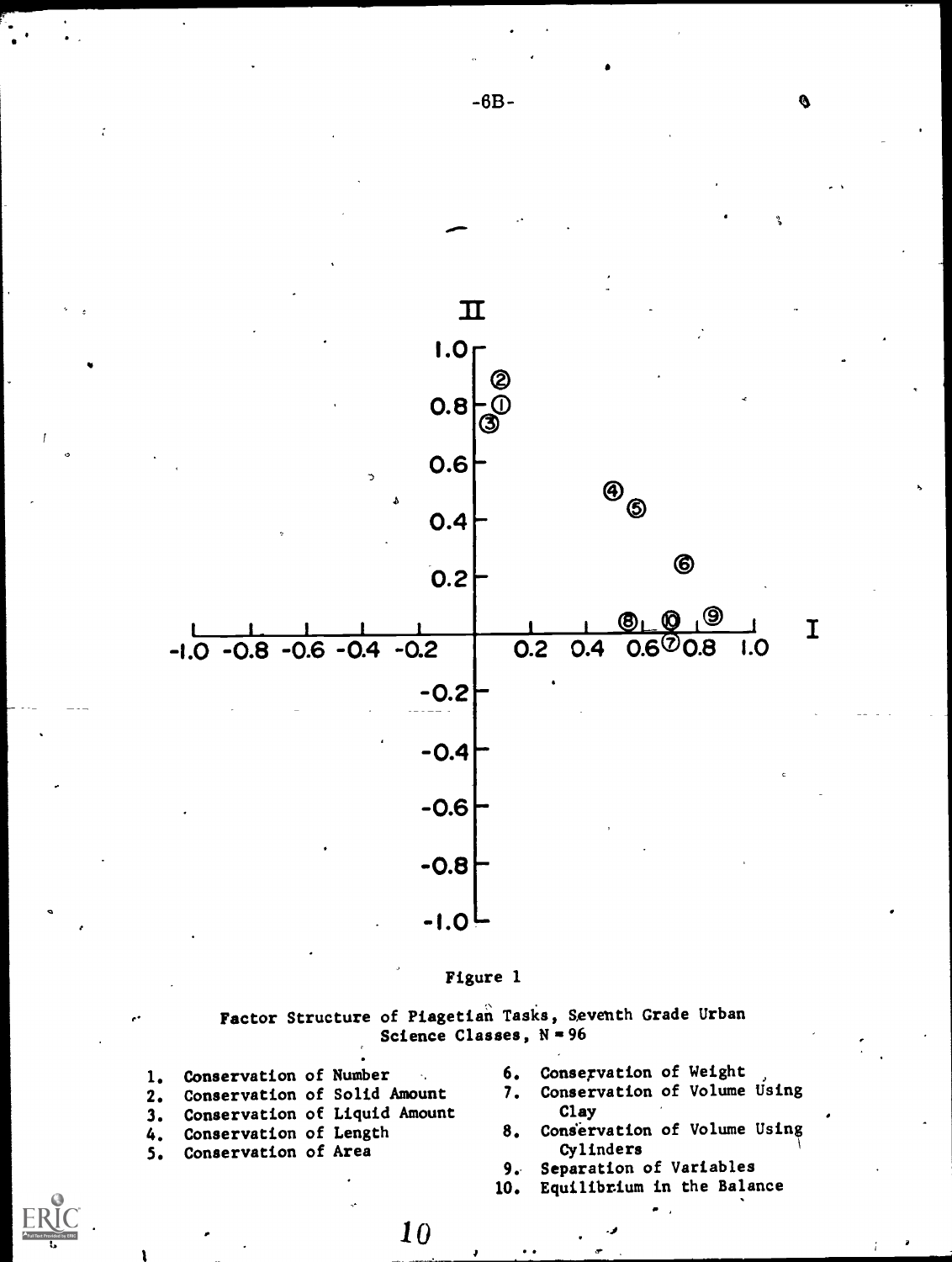



Factor Structure of Piagetian Tasks, Seventh Grade Urban Science Classes,  $N = 96$ 

10 .10

- 1. Conservation of Number 6. Conservation of Weight<br>2. Conservation of Solid Amount 7. Conservation of Volume Using 2. Conservation of Solid Amount 7. Conservation of Liquid Amount Clay 3. Conservation of Liquid Amount<br>4. Conservation of Length 8.
- 5. Conservation of Area Conservation of Area

ee in die k

- 
- 
- 4. Conservation of Length 8. Conservation of Volume Using<br>5. Conservation of Area cylinders
	- Separation of Variables
	- 10. Equilibrium in the Balance

-6B-

 $\mathbf{v}$  and  $\mathbf{v}$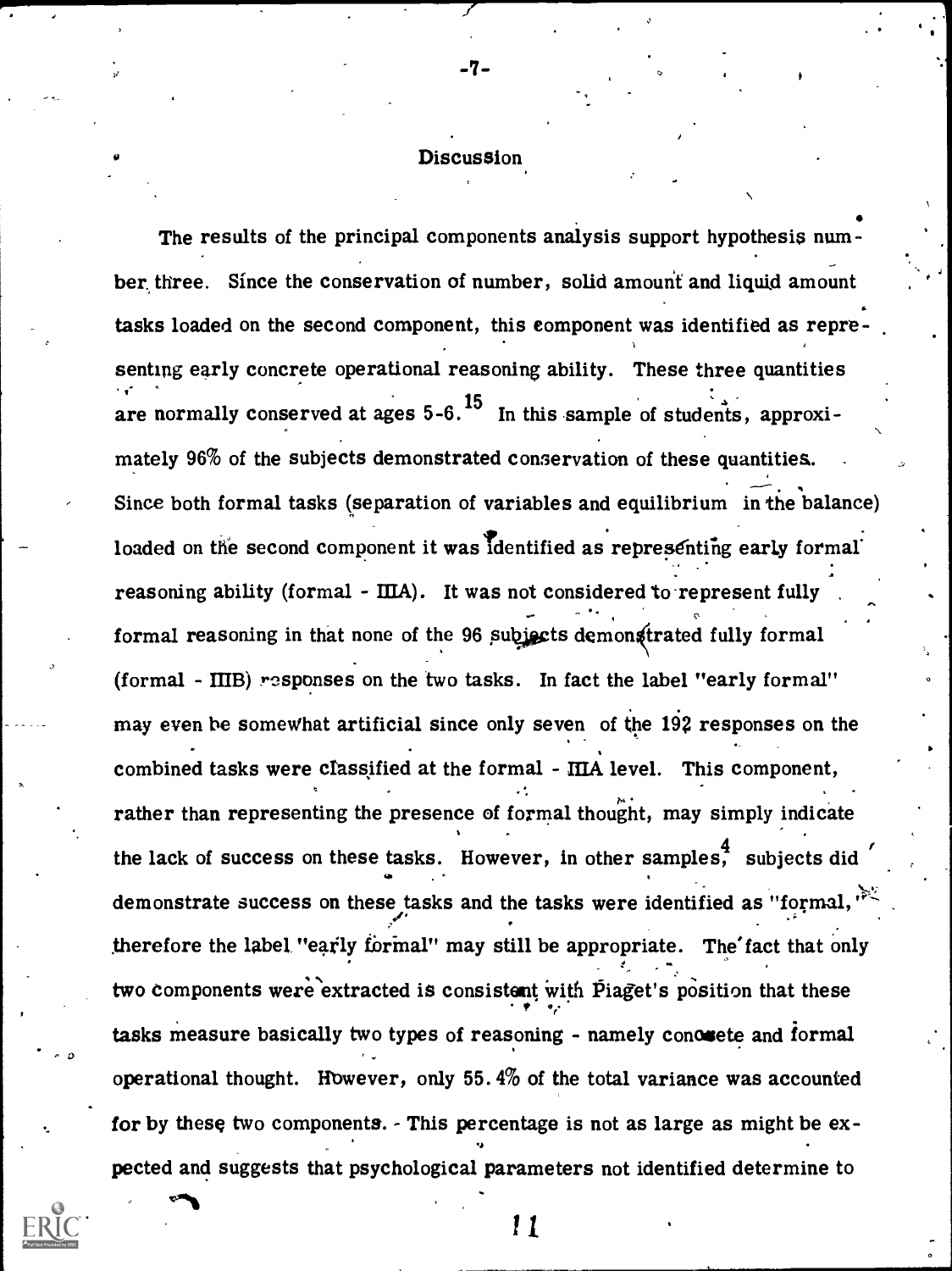## Discussion

-7-

 $\mathcal{O}$  and  $\mathcal{O}$ The results of the principal components analysis support hypothesis number, three. Since the conservation of number, solid amount and liquid amount tasks loaded on the second component, this component was identified as representing early concrete operational reasoning ability. These three quantities are normally conserved at ages  $5-6$ .<sup>15</sup> In this sample of students, approximately 96% of the subjects demonstrated conservation of these quantities. . Since both formal tasks (separation of variables and equilibrium in the balance) loaded on the second component it was identified as representing early formal reasoning ability (formal -  $\text{IIIA}$ ). It was not considered to represent fully c, formal reasoning in that none of the 96 subjects demonstrated fully formal (formal - MB) responses on the two tasks. In fact the label "early formal" may even be somewhat artificial since only seven of the 192 responses on the combined tasks were classified at the formal - MA level. This component, rather than representing the presence of formal thought, may simply indicate the lack of success on these tasks. However, in other samples, subjects did demonstrate success on these tasks and the tasks were identified as "formal," therefore the label "early formal" may still be appropriate. The fact that only two components were extracted is consistent with Piaget's position that these  $\mathbf{r} = \mathbf{r}_i$ tasks measure basically two types of reasoning - namely conousete and formal operational thought. However, only 55.4% of the total variance was accounted for by these two components. - This percentage is not as large as might be expected and suggests that psychological parameters not identified determine to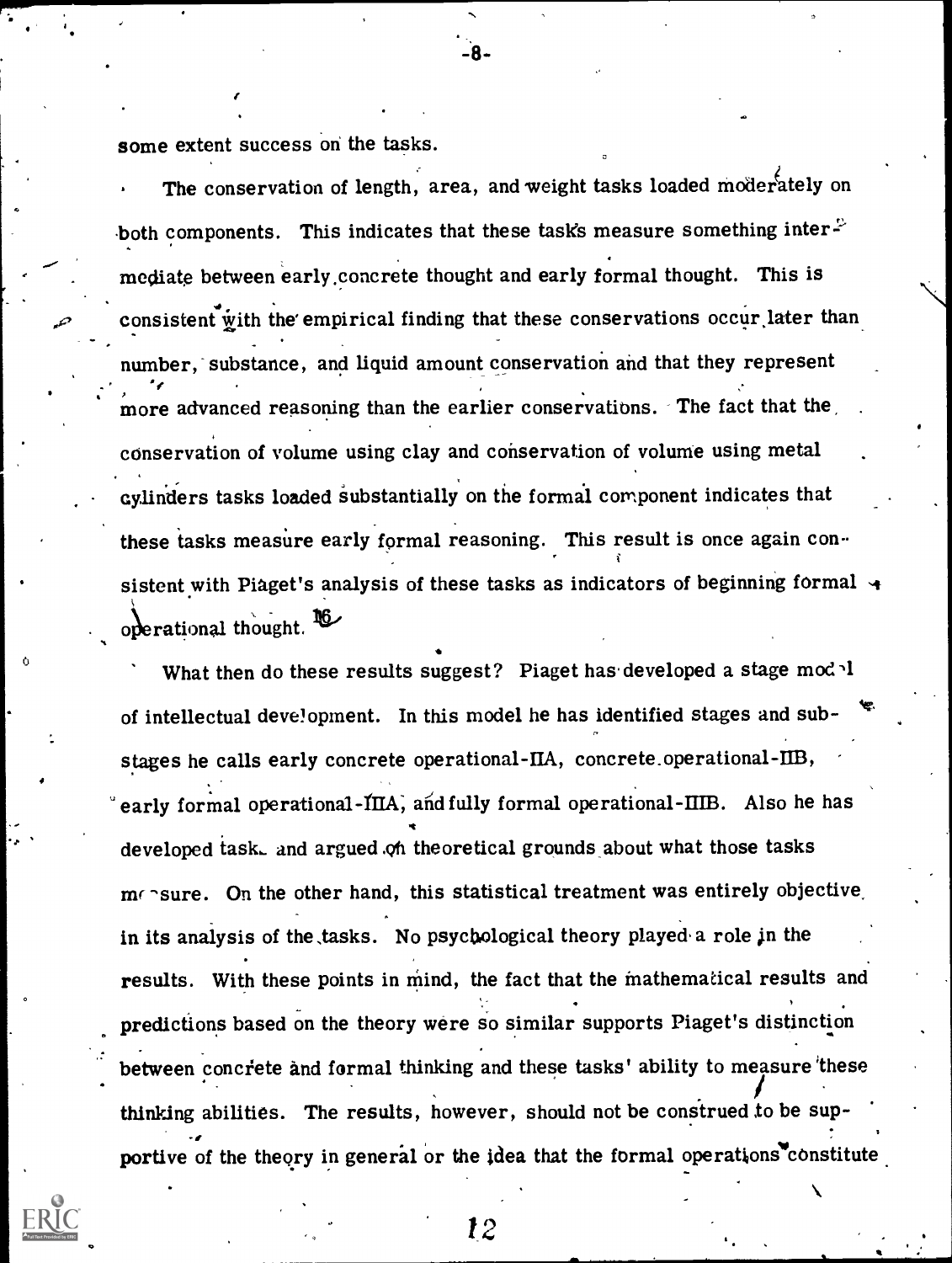some extent success on the tasks.

 $\sigma$  is a

The conservation of length, area, and weight tasks loaded moderately on both components. This indicates that these task's measure something inter $\mathbb{P}$ mediate between early ,concrete thought and early formal thought. This is consistent with the empirical finding that these conservations occur later than number, substance, and liquid amount conservation and that they represent more advanced reasoning than the earlier conservations. The fact that the conservation of volume using clay and conservation of volume using metal cylinders tasks loaded substantially on the formal component indicates that these tasks measure early formal reasoning. This result is once again consistent with Piaget's analysis of these tasks as indicators of beginning formal  $\rightarrow$ operational thought.

What then do these results suggest? Piaget has developed a stage mod l of intellectual development. In this model he has identified stages and substages he calls early concrete operational-HA, concrete.operational-1113, early formal operational-IIIA, and fully formal operational-IIIB. Also he has developed iask, and argued .oh theoretical grounds about what those tasks  $m \cap$ sure. On the other hand, this statistical treatment was entirely objective. in its analysis of the  $tasks$ . No psychological theory played a role in the results. With these points in mind, the fact that the mathematical results and predictions based on the theory were so similar supports Piaget's distinction between concrete and formal thinking and these tasks' ability to measure these thinking abilities. The results, however, should not be construed to be supportive of the theory in general or the idea that the formal operations constitute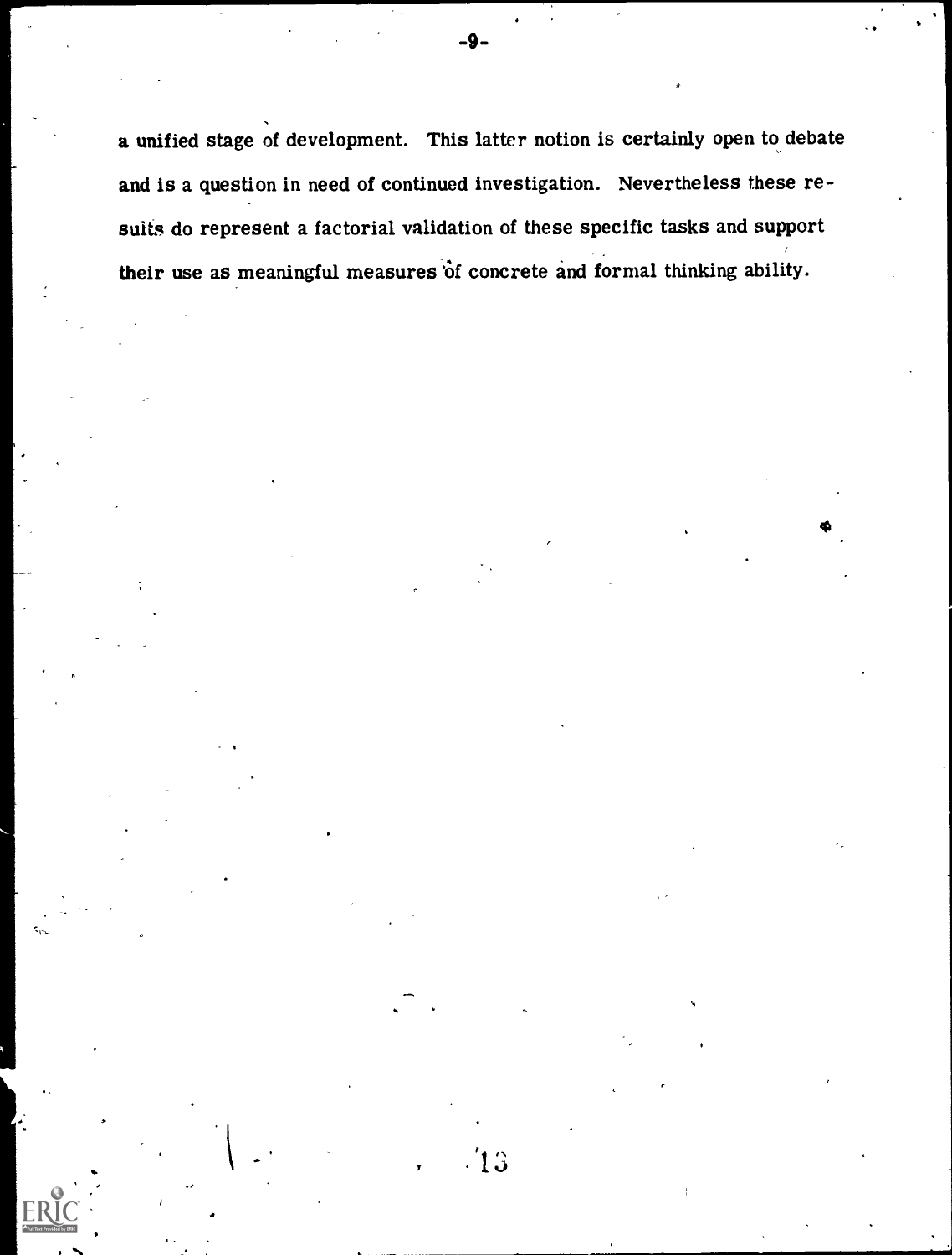a unified stage of development. This latter notion is certainly open to debate and is a question in need of continued investigation. Nevertheless these resuits do represent a factorial validation of these specific tasks and support their use as meaningful measures of concrete and formal thinking ability.

 $13$ 

 $\bullet$  subsets and  $\bullet$ 

.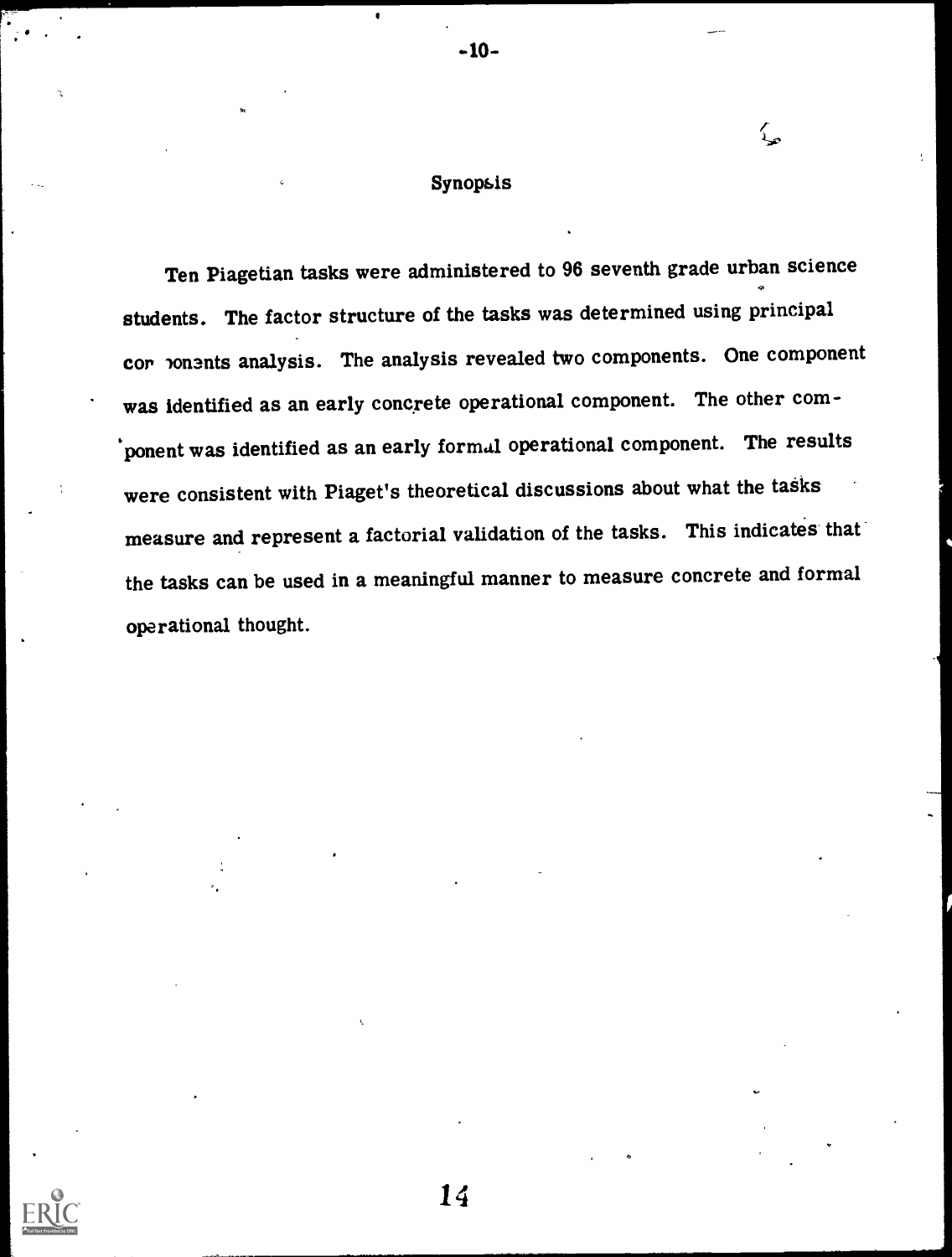## Synopsis

{<br>}

-10-

Ten Piagetian tasks were administered to 96 seventh grade urban science 4, students. The factor structure of the tasks was determined using principal cor onents analysis. The analysis revealed two components. One component was identified as an early concrete operational component. The other component was identified as an early formal operational component. The results were consistent with Piaget's theoretical discussions about what the tasks measure and represent a factorial validation of the tasks. This indicates that the tasks can be used in a meaningful manner to measure concrete and formal operational thought.

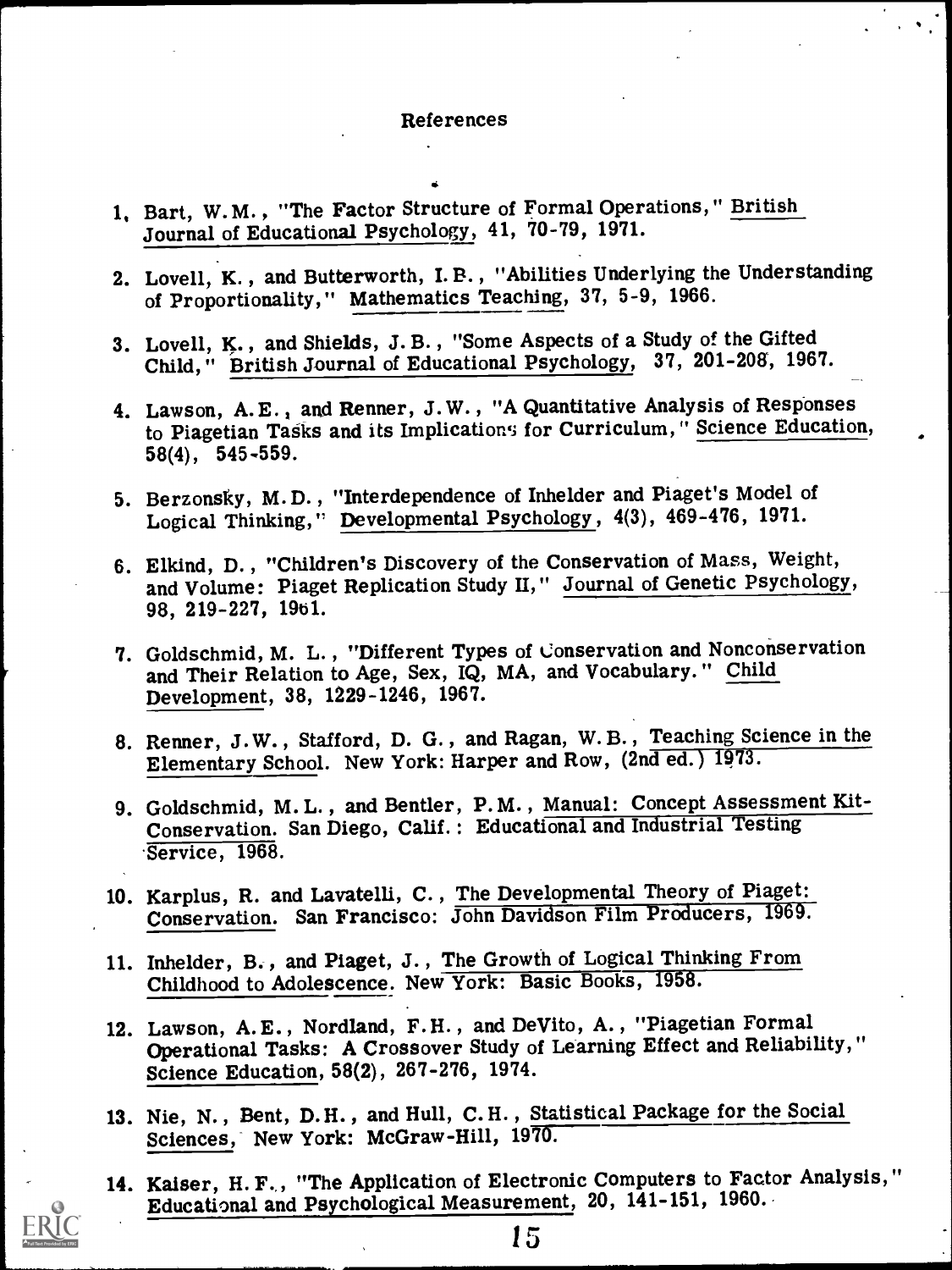#### References

- 1, Bart, W. M. , "The Factor Structure of Formal Operations," British Journal of Educational Psychology, 41, 70-79, 1971.
- 2. Lovell, K. , and Butterworth, I. B. , "Abilities Underlying the Understanding of Proportionality," Mathematics Teaching, 37, 5-9, 1966.
- 3. Lovell, K. , and Shields, J. B. , "Some Aspects of a Study of the Gifted Child, " British Journal of Educational Psychology, 37, 201-208, 1967.
- 4. Lawson, A.E., and Renner, J.W., "A Quantitative Analysis of Responses to Piagetian Tasks and its Implications for Curriculum," Science Education, 58(4), 545-559.
- 5. Berzonsky, M.D. , "Interdependence of Inhelder and Piaget's Model of Logical Thinking," Developmental Psychology , 4(3), 469-476, 1971.
- 6. Elkind, D. , "Children's Discovery of the Conservation of Mass, Weight, and Volume: Piaget Replication Study II," Journal of Genetic Psychology, 98, 219-227, 19b1.
- 7. Goldschmid, M. L. , "Different Types of Conservation and Nonconservation and Their Relation to Age, Sex, IQ, MA, and Vocabulary." Child Development, 38, 1229-1246, 1967.
- 8. Renner, J. W. , Stafford, D. G. , and Ragan, W. B. , Teaching Science in the Elementary School. New York: Harper and Row, (2nd ed.) 1973.
- 9. Goldschmid, M. L. , and Bentler, P. M. , Manual: Concept Assessment Kit-Conservation. San Diego, Calif. : Educational and Industrial Testing Service, 1968.
- 10. Karplus, R. and Lavatelli, C. , The Developmental Theory of Piaget: Conservation. San Francisco: John Davidson Film Producers, 1969.
- 11. Inhelder, B. , and Piaget, J. , The Growth of Logical Thinking From Childhood to Adolescence. New York: Basic Books, 1958.
- 12. Lawson, A. E. , Nordland, F. H. , and DeVito, A. , "Piagetian Formal Operational Tasks: A Crossover Study of Learning Effect and Reliability," Science Education, 58(2), 267-276, 1974.
- 13. Nie, N. , Bent, D. H. , and Hull, C. H. , Statistical Package for the Social Sciences, New York: McGraw-Hill, 1970.
- 14. Kaiser, H. F., "The Application of Electronic Computers to Factor Analysis," Educational and Psychological Measurement, 20, 141-151, 1960.